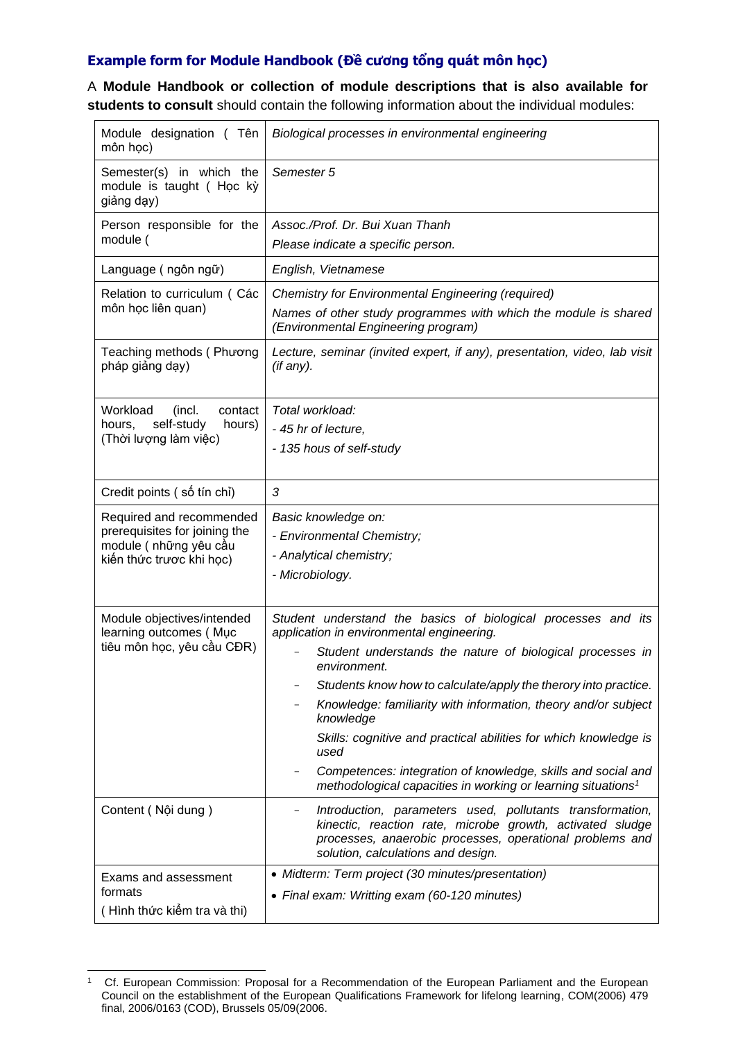## **Example form for Module Handbook (Đề cương tổng quát môn học)**

A **Module Handbook or collection of module descriptions that is also available for students to consult** should contain the following information about the individual modules:

| Module designation (Tên<br>môn học)                                                                            | Biological processes in environmental engineering                                                                                                                                                                                                                                                                                                                                                                                                                                                                                                                 |
|----------------------------------------------------------------------------------------------------------------|-------------------------------------------------------------------------------------------------------------------------------------------------------------------------------------------------------------------------------------------------------------------------------------------------------------------------------------------------------------------------------------------------------------------------------------------------------------------------------------------------------------------------------------------------------------------|
| Semester(s) in which the<br>module is taught (Học kỳ<br>giảng dạy)                                             | Semester 5                                                                                                                                                                                                                                                                                                                                                                                                                                                                                                                                                        |
| Person responsible for the<br>module (                                                                         | Assoc./Prof. Dr. Bui Xuan Thanh<br>Please indicate a specific person.                                                                                                                                                                                                                                                                                                                                                                                                                                                                                             |
| Language (ngôn ngữ)                                                                                            | English, Vietnamese                                                                                                                                                                                                                                                                                                                                                                                                                                                                                                                                               |
| Relation to curriculum (Các<br>môn học liên quan)                                                              | <b>Chemistry for Environmental Engineering (required)</b><br>Names of other study programmes with which the module is shared<br>(Environmental Engineering program)                                                                                                                                                                                                                                                                                                                                                                                               |
| Teaching methods (Phương<br>pháp giảng dạy)                                                                    | Lecture, seminar (invited expert, if any), presentation, video, lab visit<br>(if any).                                                                                                                                                                                                                                                                                                                                                                                                                                                                            |
| Workload<br>contact<br>(incl.<br>self-study<br>hours,<br>hours)<br>(Thời lượng làm việc)                       | Total workload:<br>- 45 hr of lecture,<br>- 135 hous of self-study                                                                                                                                                                                                                                                                                                                                                                                                                                                                                                |
| Credit points (số tín chỉ)                                                                                     | 3                                                                                                                                                                                                                                                                                                                                                                                                                                                                                                                                                                 |
| Required and recommended<br>prerequisites for joining the<br>module (những yêu cầu<br>kiến thức trược khi học) | Basic knowledge on:<br>- Environmental Chemistry;<br>- Analytical chemistry;<br>- Microbiology.                                                                                                                                                                                                                                                                                                                                                                                                                                                                   |
| Module objectives/intended<br>learning outcomes (Muc<br>tiêu môn học, yêu cầu CĐR)                             | Student understand the basics of biological processes and its<br>application in environmental engineering.<br>Student understands the nature of biological processes in<br>environment.<br>Students know how to calculate/apply the therory into practice.<br>Knowledge: familiarity with information, theory and/or subject<br>knowledge<br>Skills: cognitive and practical abilities for which knowledge is<br>used<br>Competences: integration of knowledge, skills and social and<br>methodological capacities in working or learning situations <sup>1</sup> |
| Content (Nội dung)                                                                                             | Introduction, parameters used, pollutants transformation,<br>$\overline{\phantom{a}}$<br>kinectic, reaction rate, microbe growth, activated sludge<br>processes, anaerobic processes, operational problems and<br>solution, calculations and design.                                                                                                                                                                                                                                                                                                              |
| <b>Exams and assessment</b><br>formats<br>(Hình thức kiếm tra và thi)                                          | • Midterm: Term project (30 minutes/presentation)<br>• Final exam: Writting exam (60-120 minutes)                                                                                                                                                                                                                                                                                                                                                                                                                                                                 |

<sup>&</sup>lt;sup>1</sup> Cf. European Commission: Proposal for a Recommendation of the European Parliament and the European Council on the establishment of the European Qualifications Framework for lifelong learning, COM(2006) 479 final, 2006/0163 (COD), Brussels 05/09(2006.